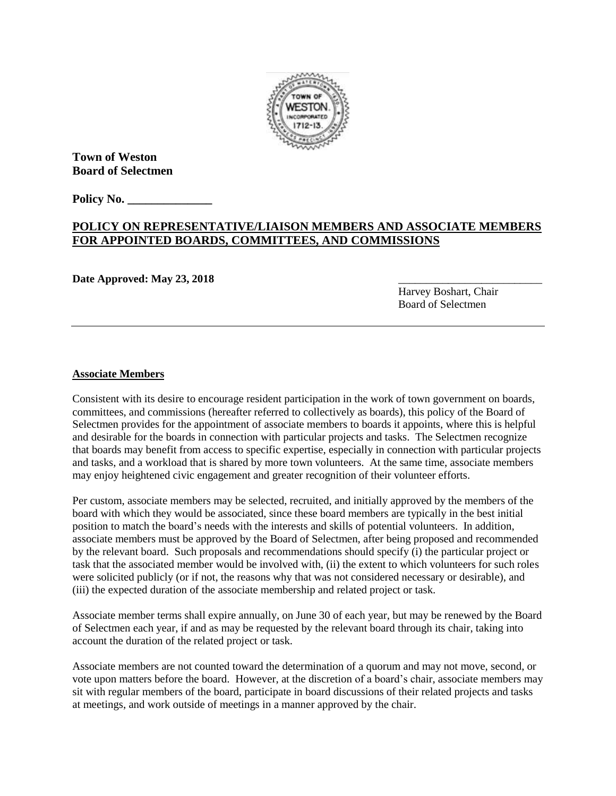

**Town of Weston Board of Selectmen**

**Policy No. \_\_\_\_\_\_\_\_\_\_\_\_\_\_**

## **POLICY ON REPRESENTATIVE/LIAISON MEMBERS AND ASSOCIATE MEMBERS FOR APPOINTED BOARDS, COMMITTEES, AND COMMISSIONS**

Date Approved: May 23, 2018

Harvey Boshart, Chair Board of Selectmen

## **Associate Members**

Consistent with its desire to encourage resident participation in the work of town government on boards, committees, and commissions (hereafter referred to collectively as boards), this policy of the Board of Selectmen provides for the appointment of associate members to boards it appoints, where this is helpful and desirable for the boards in connection with particular projects and tasks. The Selectmen recognize that boards may benefit from access to specific expertise, especially in connection with particular projects and tasks, and a workload that is shared by more town volunteers. At the same time, associate members may enjoy heightened civic engagement and greater recognition of their volunteer efforts.

Per custom, associate members may be selected, recruited, and initially approved by the members of the board with which they would be associated, since these board members are typically in the best initial position to match the board's needs with the interests and skills of potential volunteers. In addition, associate members must be approved by the Board of Selectmen, after being proposed and recommended by the relevant board. Such proposals and recommendations should specify (i) the particular project or task that the associated member would be involved with, (ii) the extent to which volunteers for such roles were solicited publicly (or if not, the reasons why that was not considered necessary or desirable), and (iii) the expected duration of the associate membership and related project or task.

Associate member terms shall expire annually, on June 30 of each year, but may be renewed by the Board of Selectmen each year, if and as may be requested by the relevant board through its chair, taking into account the duration of the related project or task.

Associate members are not counted toward the determination of a quorum and may not move, second, or vote upon matters before the board. However, at the discretion of a board's chair, associate members may sit with regular members of the board, participate in board discussions of their related projects and tasks at meetings, and work outside of meetings in a manner approved by the chair.